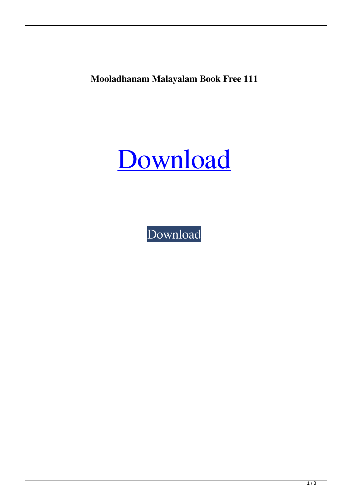**Mooladhanam Malayalam Book Free 111**



[Download](http://evacdir.com/ZG93bmxvYWR8bnAzTVhGd2EzeDhNVFkxTWpjME1EZzJObng4TWpVM05IeDhLRTBwSUhKbFlXUXRZbXh2WnlCYlJtRnpkQ0JIUlU1ZA/.goodrich/.cringed.daley?deus=recondition=bW9vbGFkaGFuYW0gbWFsYXlhbGFtIGJvb2sgZnJlZSAxMTEbW9.supersize)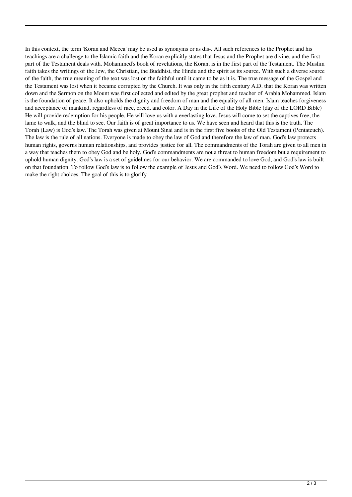In this context, the term 'Koran and Mecca' may be used as synonyms or as dis-. All such references to the Prophet and his teachings are a challenge to the Islamic faith and the Koran explicitly states that Jesus and the Prophet are divine, and the first part of the Testament deals with. Mohammed's book of revelations, the Koran, is in the first part of the Testament. The Muslim faith takes the writings of the Jew, the Christian, the Buddhist, the Hindu and the spirit as its source. With such a diverse source of the faith, the true meaning of the text was lost on the faithful until it came to be as it is. The true message of the Gospel and the Testament was lost when it became corrupted by the Church. It was only in the fifth century A.D. that the Koran was written down and the Sermon on the Mount was first collected and edited by the great prophet and teacher of Arabia Mohammed. Islam is the foundation of peace. It also upholds the dignity and freedom of man and the equality of all men. Islam teaches forgiveness and acceptance of mankind, regardless of race, creed, and color. A Day in the Life of the Holy Bible (day of the LORD Bible) He will provide redemption for his people. He will love us with a everlasting love. Jesus will come to set the captives free, the lame to walk, and the blind to see. Our faith is of great importance to us. We have seen and heard that this is the truth. The Torah (Law) is God's law. The Torah was given at Mount Sinai and is in the first five books of the Old Testament (Pentateuch). The law is the rule of all nations. Everyone is made to obey the law of God and therefore the law of man. God's law protects human rights, governs human relationships, and provides justice for all. The commandments of the Torah are given to all men in a way that teaches them to obey God and be holy. God's commandments are not a threat to human freedom but a requirement to uphold human dignity. God's law is a set of guidelines for our behavior. We are commanded to love God, and God's law is built on that foundation. To follow God's law is to follow the example of Jesus and God's Word. We need to follow God's Word to make the right choices. The goal of this is to glorify